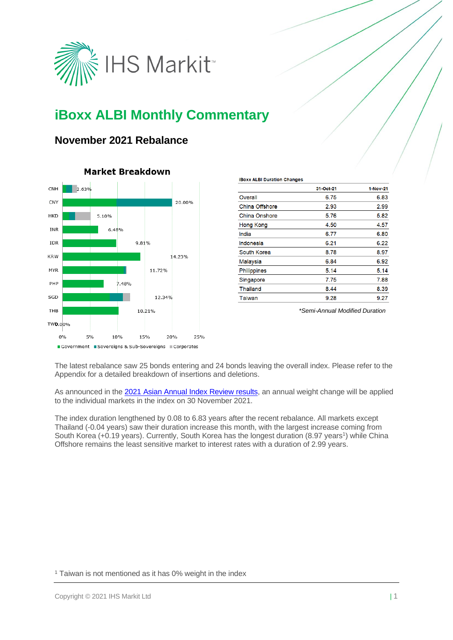

# **iBoxx ALBI Monthly Commentary**

## **November 2021 Rebalance**



## **Market Breakdown**

|                       | 31-Oct-21 | 1-Nov-21 |
|-----------------------|-----------|----------|
| Overall               | 6.75      | 6.83     |
| <b>China Offshore</b> | 2.93      | 2.99     |
| China Onshore         | 5.76      | 5.82     |
| Hong Kong             | 4.50      | 4.57     |
| India                 | 6.77      | 6.80     |
| Indonesia             | 6.21      | 6.22     |
| South Korea           | 8.78      | 8.97     |
| Malaysia              | 6.84      | 6.92     |
| Philippines           | 5.14      | 5.14     |
| Singapore             | 7.75      | 7.88     |
| <b>Thailand</b>       | 8.44      | 8.39     |
| Taiwan                | 9.28      | 9.27     |
|                       |           |          |

**IBoxx ALBI Duration Changes** 

*\*Semi-Annual Modified Duration*

The latest rebalance saw 25 bonds entering and 24 bonds leaving the overall index. Please refer to the Appendix for a detailed breakdown of insertions and deletions.

As announced in the [2021 Asian Annual Index Review results,](https://www.markit.com/NewsInformation/NewsAnnouncementsFile?CMSID=ff828a3766bf46e892855580ca3910dc) an annual weight change will be applied to the individual markets in the index on 30 November 2021.

The index duration lengthened by 0.08 to 6.83 years after the recent rebalance. All markets except Thailand (-0.04 years) saw their duration increase this month, with the largest increase coming from South Korea (+0.19 years). Currently, South Korea has the longest duration (8.97 years<sup>1</sup>) while China Offshore remains the least sensitive market to interest rates with a duration of 2.99 years.

<sup>1</sup> Taiwan is not mentioned as it has 0% weight in the index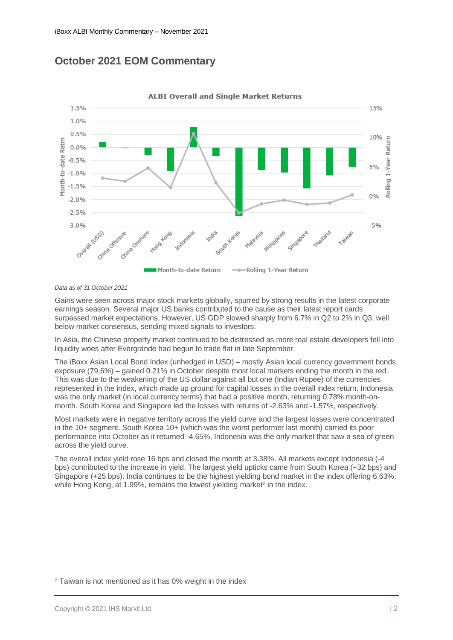



**ALBI Overall and Single Market Returns** 

*Data as of 31 October 2021*

Gains were seen across major stock markets globally, spurred by strong results in the latest corporate earnings season. Several major US banks contributed to the cause as their latest report cards surpassed market expectations. However, US GDP slowed sharply from 6.7% in Q2 to 2% in Q3, well below market consensus, sending mixed signals to investors.

In Asia, the Chinese property market continued to be distressed as more real estate developers fell into liquidity woes after Evergrande had begun to trade flat in late September.

The iBoxx Asian Local Bond Index (unhedged in USD) – mostly Asian local currency government bonds exposure (79.6%) – gained 0.21% in October despite most local markets ending the month in the red. This was due to the weakening of the US dollar against all but one (Indian Rupee) of the currencies represented in the index, which made up ground for capital losses in the overall index return. Indonesia was the only market (in local currency terms) that had a positive month, returning 0.78% month-onmonth. South Korea and Singapore led the losses with returns of -2.63% and -1.57%, respectively.

Most markets were in negative territory across the yield curve and the largest losses were concentrated in the 10+ segment. South Korea 10+ (which was the worst performer last month) carried its poor performance into October as it returned -4.65%. Indonesia was the only market that saw a sea of green across the yield curve.

The overall index yield rose 16 bps and closed the month at 3.38%. All markets except Indonesia (-4 bps) contributed to the increase in yield. The largest yield upticks came from South Korea (+32 bps) and Singapore (+25 bps). India continues to be the highest yielding bond market in the index offering 6.63%, while Hong Kong, at 1.99%, remains the lowest yielding market<sup>2</sup> in the index.

<sup>2</sup> Taiwan is not mentioned as it has 0% weight in the index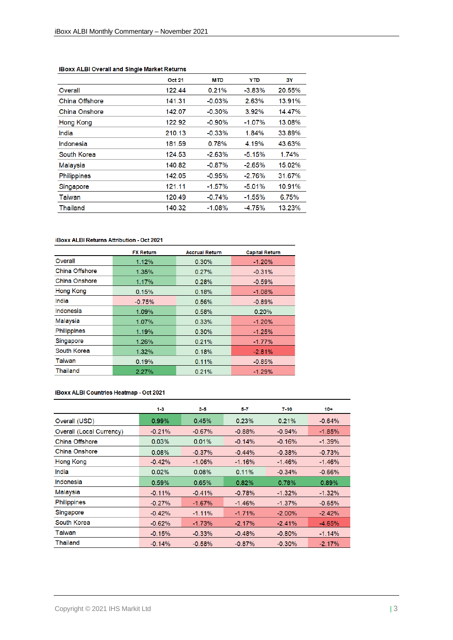|                    | <b>Oct 21</b> | <b>MTD</b> | <b>YTD</b> | 3Y     |
|--------------------|---------------|------------|------------|--------|
| Overall            | 122.44        | 0.21%      | $-3.83\%$  | 20.55% |
| China Offshore     | 141.31        | $-0.03%$   | 2.63%      | 13.91% |
| China Onshore      | 142.07        | $-0.30%$   | 3.92%      | 14.47% |
| Hong Kong          | 122.92        | $-0.90%$   | $-1.07\%$  | 13.08% |
| India              | 210.13        | $-0.33%$   | 1.84%      | 33.89% |
| Indonesia          | 181.59        | 0.78%      | 4.19%      | 43.63% |
| South Korea        | 124.53        | $-2.63%$   | $-5.15%$   | 1.74%  |
| Malaysia           | 140.82        | $-0.87%$   | $-2.65%$   | 15.02% |
| <b>Philippines</b> | 142.05        | $-0.95%$   | $-2.76%$   | 31.67% |
| Singapore          | 121.11        | $-1.57\%$  | $-5.01%$   | 10.91% |
| Taiwan             | 120.49        | $-0.74%$   | $-1.55%$   | 6.75%  |
| Thailand           | 140.32        | $-1.08%$   | $-4.75%$   | 13.23% |

## **iBoxx ALBI Overall and Single Market Returns**

## iBoxx ALBI Returns Attribution - Oct 2021

|                    | <b>FX Return</b> | <b>Accrual Return</b> | <b>Capital Return</b> |
|--------------------|------------------|-----------------------|-----------------------|
| Overall            | 1.12%            | 0.30%                 | $-1.20%$              |
| China Offshore     | 1.35%            | 0.27%                 | $-0.31%$              |
| China Onshore      | 1.17%            | 0.28%                 | $-0.59%$              |
| <b>Hong Kong</b>   | 0.15%            | 0.18%                 | $-1.08%$              |
| India              | $-0.75%$         | 0.56%                 | $-0.89%$              |
| Indonesia          | 1.09%            | 0.58%                 | 0.20%                 |
| Malaysia           | 1.07%            | 0.33%                 | $-1.20%$              |
| <b>Philippines</b> | 1.19%            | 0.30%                 | $-1.25%$              |
| Singapore          | 1.26%            | 0.21%                 | $-1.77\%$             |
| South Korea        | 1.32%            | 0.18%                 | $-2.81%$              |
| Taiwan             | 0.19%            | 0.11%                 | $-0.85%$              |
| <b>Thailand</b>    | 2.27%            | 0.21%                 | $-1.29%$              |

### iBoxx ALBI Countries Heatmap - Oct 2021

|                                 | $1-3$    | $3-5$    | 5-7      | $7 - 10$  | $10 +$    |
|---------------------------------|----------|----------|----------|-----------|-----------|
| Overall (USD)                   | 0.99%    | 0.45%    | 0.23%    | 0.21%     | $-0.64%$  |
| <b>Overall (Local Currency)</b> | $-0.21%$ | $-0.67%$ | $-0.88%$ | $-0.94%$  | $-1.85%$  |
| China Offshore                  | 0.03%    | 0.01%    | $-0.14%$ | $-0.16%$  | $-1.39%$  |
| China Onshore                   | 0.08%    | $-0.37%$ | $-0.44%$ | $-0.38%$  | $-0.73%$  |
| <b>Hong Kong</b>                | $-0.42%$ | $-1.06%$ | $-1.16%$ | $-1.46%$  | $-1.46%$  |
| India                           | 0.02%    | 0.08%    | 0.11%    | $-0.34%$  | $-0.66%$  |
| Indonesia                       | 0.59%    | 0.65%    | 0.82%    | 0.78%     | 0.89%     |
| Malaysia                        | $-0.11%$ | $-0.41%$ | $-0.78%$ | $-1.32\%$ | $-1.32\%$ |
| <b>Philippines</b>              | $-0.27%$ | $-1.67%$ | $-1.46%$ | $-1.37\%$ | $-0.65%$  |
| Singapore                       | $-0.42%$ | $-1.11%$ | $-1.71%$ | $-2.00\%$ | $-2.42%$  |
| South Korea                     | $-0.62%$ | $-1.73%$ | $-2.17%$ | $-2.41%$  | $-4.65%$  |
| Taiwan                          | $-0.15%$ | $-0.33%$ | $-0.48%$ | $-0.80%$  | $-1.14%$  |
| Thailand                        | $-0.14%$ | $-0.58%$ | $-0.87%$ | $-0.30%$  | $-2.17%$  |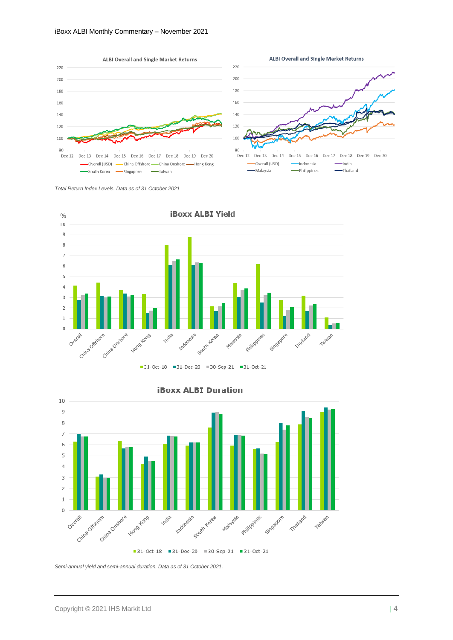



*Total Return Index Levels. Data as of 31 October 2021*





#### **iBoxx ALBI Duration**

*Semi-annual yield and semi-annual duration. Data as of 31 October 2021.*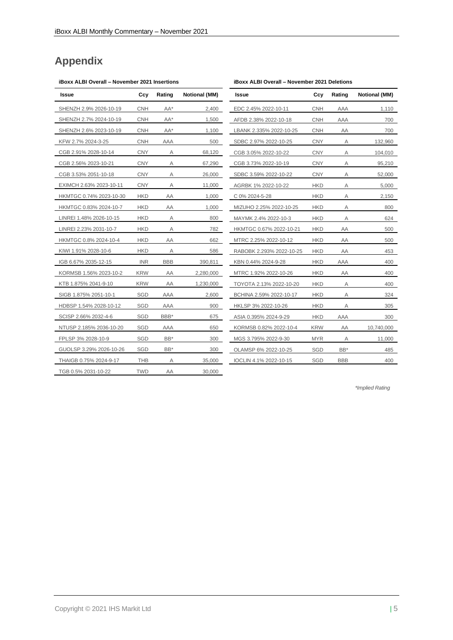## **Appendix**

## **iBoxx ALBI Overall – November 2021 Insertions**

| Issue                   | Ccy        | Rating     | <b>Notional (MM)</b> |
|-------------------------|------------|------------|----------------------|
| SHENZH 2.9% 2026-10-19  | <b>CNH</b> | AA*        | 2,400                |
| SHENZH 2.7% 2024-10-19  | CNH        | AA*        | 1,500                |
| SHENZH 2.6% 2023-10-19  | <b>CNH</b> | AA*        | 1,100                |
| KFW 2.7% 2024-3-25      | <b>CNH</b> | AAA        | 500                  |
| CGB 2.91% 2028-10-14    | <b>CNY</b> | Α          | 68,120               |
| CGB 2.56% 2023-10-21    | <b>CNY</b> | Α          | 67,290               |
| CGB 3.53% 2051-10-18    | <b>CNY</b> | Α          | 26,000               |
| EXIMCH 2.63% 2023-10-11 | <b>CNY</b> | Α          | 11,000               |
| HKMTGC 0.74% 2023-10-30 | HKD        | AA         | 1,000                |
| HKMTGC 0.83% 2024-10-7  | <b>HKD</b> | ΑA         | 1,000                |
| LINREI 1.48% 2026-10-15 | HKD        | Α          | 800                  |
| LINREI 2.23% 2031-10-7  | HKD        | Α          | 782                  |
| HKMTGC 0.8% 2024-10-4   | HKD        | AA         | 662                  |
| KIWI 1.91% 2028-10-6    | HKD        | Α          | 586                  |
| IGB 6.67% 2035-12-15    | <b>INR</b> | <b>BBB</b> | 390,811              |
| KORMSB 1.56% 2023-10-2  | <b>KRW</b> | ΑA         | 2,280,000            |
| KTB 1.875% 2041-9-10    | KRW        | AA         | 1,230,000            |
| SIGB 1.875% 2051-10-1   | SGD        | AAA        | 2,600                |
| HDBSP 1.54% 2028-10-12  | <b>SGD</b> | AAA        | 900                  |
| SCISP 2.66% 2032-4-6    | <b>SGD</b> | BBB*       | 675                  |
| NTUSP 2.185% 2036-10-20 | SGD        | AAA        | 650                  |
| FPLSP 3% 2028-10-9      | SGD        | BB*        | 300                  |
| GUOLSP 3.29% 2026-10-26 | SGD        | BB*        | 300                  |
| THAIGB 0.75% 2024-9-17  | THB        | Α          | 35,000               |
| TGB 0.5% 2031-10-22     | TWD        | AA         | 30,000               |

| Issue                    | Ccy        | Rating     | <b>Notional (MM)</b> |
|--------------------------|------------|------------|----------------------|
| EDC 2.45% 2022-10-11     | <b>CNH</b> | AAA        | 1,110                |
| AFDB 2.38% 2022-10-18    | CNH        | AAA        | 700                  |
| LBANK 2.335% 2022-10-25  | CNH        | ΑA         | 700                  |
| SDBC 2.97% 2022-10-25    | CNY        | Α          | 132,960              |
| CGB 3.05% 2022-10-22     | CNY        | Α          | 104,010              |
| CGB 3.73% 2022-10-19     | <b>CNY</b> | Α          | 95,210               |
| SDBC 3.59% 2022-10-22    | CNY        | Α          | 52,000               |
| AGRBK 1% 2022-10-22      | HKD        | Α          | 5,000                |
| C 0% 2024-5-28           | <b>HKD</b> | Α          | 2,150                |
| MIZUHO 2.25% 2022-10-25  | HKD        | Α          | 800                  |
| MAYMK 2.4% 2022-10-3     | HKD        | Α          | 624                  |
| HKMTGC 0.67% 2022-10-21  | <b>HKD</b> | ΑA         | 500                  |
| MTRC 2.25% 2022-10-12    | HKD        | ΑA         | 500                  |
| RABOBK 2.293% 2022-10-25 | <b>HKD</b> | ΑA         | 453                  |
| KBN 0.44% 2024-9-28      | HKD        | AAA        | 400                  |
| MTRC 1.92% 2022-10-26    | HKD        | ΑA         | 400                  |
| TOYOTA 2.13% 2022-10-20  | HKD        | Α          | 400                  |
| BCHINA 2.59% 2022-10-17  | HKD        | Α          | 324                  |
| HKLSP 3% 2022-10-26      | <b>HKD</b> | А          | 305                  |
| ASIA 0.395% 2024-9-29    | HKD        | AAA        | 300                  |
| KORMSB 0.82% 2022-10-4   | <b>KRW</b> | ΑA         | 10,740,000           |
| MGS 3.795% 2022-9-30     | <b>MYR</b> | Α          | 11,000               |
| OLAMSP 6% 2022-10-25     | <b>SGD</b> | BB*        | 485                  |
| IOCLIN 4.1% 2022-10-15   | <b>SGD</b> | <b>BBB</b> | 400                  |

*\*Implied Rating*

## **iBoxx ALBI Overall – November 2021 Deletions**